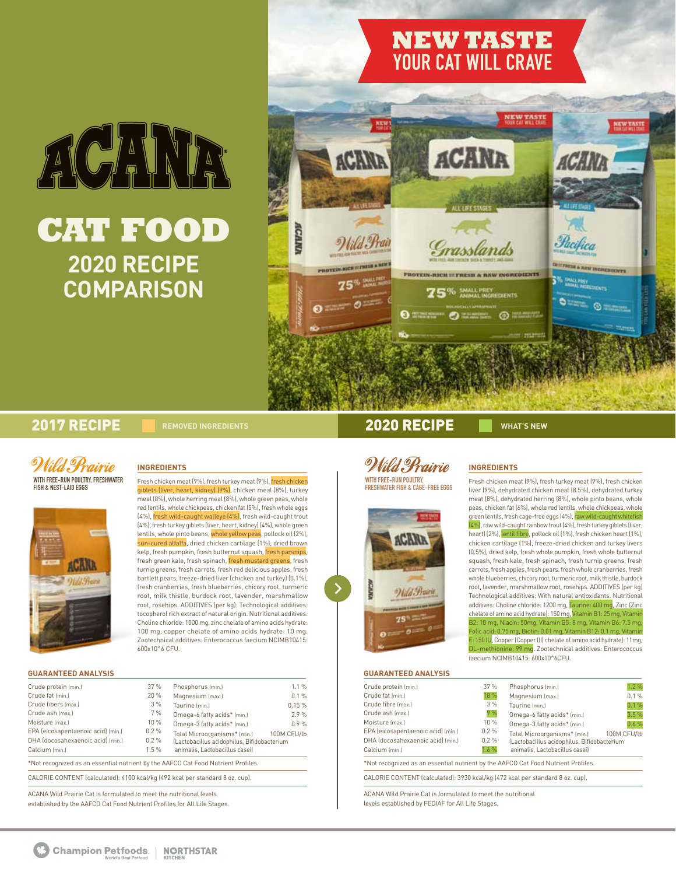# ACANDR **CAT FOOD**

**2020 RECIPE COMPARISON**

## **NEW TASTE YOUR CAT WILL CRAVE**



## 2017 RECIPE **REMOVED INGREDIENTS** 2020 RECIPE **WHAT'S NEW**





**INGREDIENTS**

Fresh chicken meat (9%), fresh turkey meat (9%), fresh chicken giblets (liver, heart, kidney) (9%), chicken meal (8%), turkey meal (8%), whole herring meal (8%), whole green peas, whole red lentils, whole chickpeas, chicken fat (5%), fresh whole eggs (4%), fresh wild-caught walleye (4%), fresh wild-caught trout (4%), fresh turkey giblets (liver, heart, kidney) (4%), whole green lentils, whole pinto beans, whole yellow peas, pollock oil (2%), sun-cured alfalfa, dried chicken cartilage (1%), dried brown kelp, fresh pumpkin, fresh butternut squash, fresh parsnips, fresh green kale, fresh spinach, fresh mustard greens, fresh turnip greens, fresh carrots, fresh red delicious apples, fresh bartlett pears, freeze-dried liver (chicken and turkey) (0.1%), fresh cranberries, fresh blueberries, chicory root, turmeric root, milk thistle, burdock root, lavender, marshmallow root, rosehips. ADDITIVES (per kg): Technological additives: tocopherol rich extract of natural origin. Nutritional additives: Choline chloride: 1000 mg, zinc chelate of amino acids hydrate: 100 mg, copper chelate of amino acids hydrate: 10 mg. Zootechnical additives: Enterococcus faecium NCIMB10415: 600x10^6 CFU.

## **GUARANTEED ANALYSIS**

| Crude protein (min.)               | 37%     | Phosphorus (min.)                           | 1.1%        |
|------------------------------------|---------|---------------------------------------------|-------------|
| Crude fat (min.)                   | 20%     | Magnesium (max.)                            | 0.1%        |
| Crude fibers (max.)                | 3%      | Taurine (min.)                              | 0.15%       |
| Crude ash (max.)                   | 7%      | Omega-6 fatty acids* (min.)                 | 2.9%        |
| Moisture (max.)                    | 10 %    | Omega-3 fatty acids* (min.)                 | 0.9%        |
| EPA (eicosapentaenoic acid) (min.) | 0.2%    | Total Microorganisms* (min.)                | 100M CFU/lb |
| DHA Idocosahexaenoic acid) [min.]  | $0.2\%$ | (Lactobacillus acidophilus, Bifidobacterium |             |
| Calcium (min.)                     | 1.5%    | animalis, Lactobacillus casei)              |             |

CALORIE CONTENT (calculated): 4100 kcal/kg (492 kcal per standard 8 oz. cup).

ACANA Wild Prairie Cat is formulated to meet the nutritional levels established by the AAFCO Cat Food Nutrient Profiles for All Life Stages.

*Wild Prairie* WITH FREE–RUN POULTRY,<br>Freshwater fish & Cage–Free Eggs



## **INGREDIENTS**

Fresh chicken meat (9%), fresh turkey meat (9%), fresh chicken liver (9%), dehydrated chicken meat (8.5%), dehydrated turkey meat (8%), dehydrated herring (8%), whole pinto beans, whole peas, chicken fat (6%), whole red lentils, whole chickpeas, whole green lentils, fresh cage-free eggs (4%), raw w (4%), raw wild-caught rainbow trout (4%), fresh turkey giblets (liver, heart) (2%), lentil fibre, pollock oil (1%), fresh chicken heart (1%), chicken cartilage (1%), freeze-dried chicken and turkey livers (0.5%), dried kelp, fresh whole pumpkin, fresh whole butternut squash, fresh kale, fresh spinach, fresh turnip greens, fresh carrots, fresh apples, fresh pears, fresh whole cranberries, fresh whole blueberries, chicory root, turmeric root, milk thistle, burdock root, lavender, marshmallow root, rosehips. ADDITIVES (per kg) Technological additives: With natural antioxidants. Nutritional additives: Choline chloride: 1200 mg, Taurine: 400 mg, Zinc (Zinc chelate of amino acid hydrate): 150 mg, Vitamin B1: 25 mg, Vitamin B2: 10 mg, Niacin: 50mg, Vitamin B5: 8 mg, Vitamin B6: 7.5 mg, Folic acid: 0.75 mg, Biotin: 0.01 mg, Vitamin B12: 0.1 mg, Vitamin

<mark>:: 150 IU, Copper (Coppe</mark>r (II) chelate of amino acid hydrate): 11mg, e: 99 mg. Zootechnical additives: Enterococcus faecium NCIMB10415: 600x10^6CFU.

## **GUARANTEED ANALYSIS**

| Crude protein (min.)                                                              | 37%  | Phosphorus (min.)                           | 1.2%        |
|-----------------------------------------------------------------------------------|------|---------------------------------------------|-------------|
| Crude fat (min.)                                                                  | 18 % | Magnesium (max.)                            | 0.1%        |
| Crude fibre (max.)                                                                | 3%   | Taurine (min.)                              | 0.1%        |
| Crude ash (max.)                                                                  | 9%   | Omega-6 fatty acids* (min.)                 | 3.5%        |
| Moisture (max.)                                                                   | 10 % | Omega-3 fatty acids* (min.)                 | 0.6%        |
| EPA (eicosapentaenoic acid) (min.)                                                | 0.2% | Total Microorganisms* (min.)                | 100M CFU/lb |
| DHA (docosahexaenoic acid) (min.)                                                 | 0.2% | (Lactobacillus acidophilus, Bifidobacterium |             |
| Calcium (min.)                                                                    | 1.6% | animalis, Lactobacillus casei)              |             |
| *Not recognized as an essential nutrient by the AAFCO Cat Food Nutrient Profiles. |      |                                             |             |
| CALORIE CONTENT (calculated): 3930 kcal/kg (472 kcal per standard 8 oz. cup).     |      |                                             |             |

ACANA Wild Prairie Cat is formulated to meet the nutritional levels established by FEDIAF for All Life Stages.